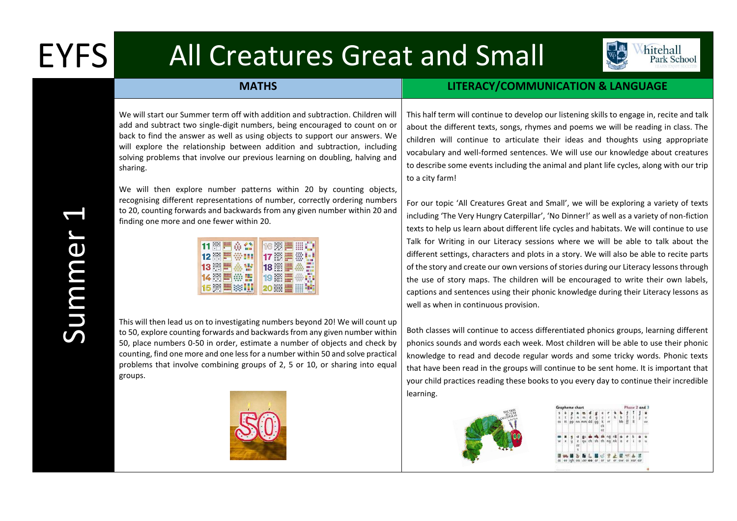## EYFS All Creatures Great and Small



## **MATHS LITERACY/COMMUNICATION & LANGUAGE**

We will start our Summer term off with addition and subtraction. Children will add and subtract two single-digit numbers, being encouraged to count on or back to find the answer as well as using objects to support our answers. We will explore the relationship between addition and subtraction, including solving problems that involve our previous learning on doubling, halving and sharing.

We will then explore number patterns within 20 by counting objects, recognising different representations of number, correctly ordering numbers to 20, counting forwards and backwards from any given number within 20 and finding one more and one fewer within 20.

| $11$ $\frac{38}{11}$    | 16<br>答<br>$***$                                  |
|-------------------------|---------------------------------------------------|
| $12 -$                  | $17 +$                                            |
| $13 -$<br>m             | <b>COLOR</b><br>$18$ $\ldots$<br>110,00<br>110800 |
| $14 -$                  | m<br>÷<br>19<br>眉                                 |
| 15 一<br>$\frac{11}{11}$ | HH<br><b>ZU</b>                                   |

This will then lead us on to investigating numbers beyond 20! We will count up to 50, explore counting forwards and backwards from any given number within 50, place numbers 0-50 in order, estimate a number of objects and check by counting, find one more and one less for a number within 50 and solve practical problems that involve combining groups of 2, 5 or 10, or sharing into equal groups.



This half term will continue to develop our listening skills to engage in, recite and talk about the different texts, songs, rhymes and poems we will be reading in class. The children will continue to articulate their ideas and thoughts using appropriate vocabulary and well-formed sentences. We will use our knowledge about creatures to describe some events including the animal and plant life cycles, along with our trip to a city farm!

For our topic 'All Creatures Great and Small', we will be exploring a variety of texts including 'The Very Hungry Caterpillar', 'No Dinner!' as well as a variety of non-fiction texts to help us learn about different life cycles and habitats. We will continue to use Talk for Writing in our Literacy sessions where we will be able to talk about the different settings, characters and plots in a story. We will also be able to recite parts of the story and create our own versions of stories during our Literacy lessons through the use of story maps. The children will be encouraged to write their own labels, captions and sentences using their phonic knowledge during their Literacy lessons as well as when in continuous provision.

Both classes will continue to access differentiated phonics groups, learning different phonics sounds and words each week. Most children will be able to use their phonic knowledge to read and decode regular words and some tricky words. Phonic texts that have been read in the groups will continue to be sent home. It is important that your child practices reading these books to you every day to continue their incredible learning.